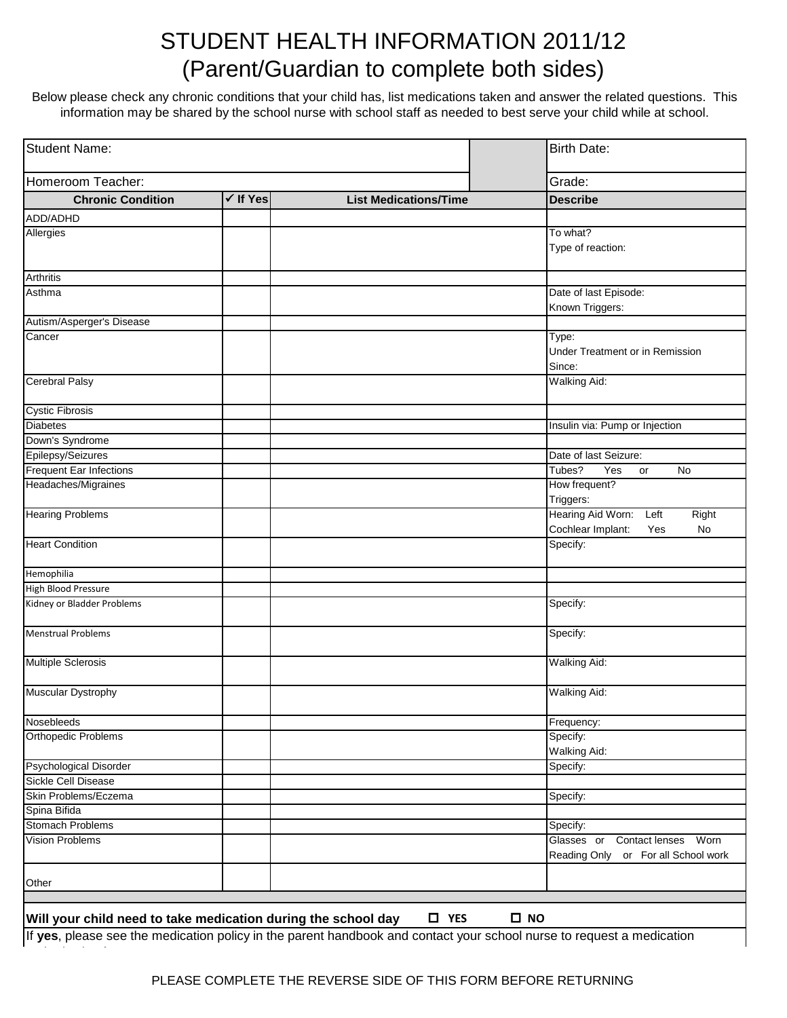## STUDENT HEALTH INFORMATION 2011/12 (Parent/Guardian to complete both sides)

Below please check any chronic conditions that your child has, list medications taken and answer the related questions. This information may be shared by the school nurse with school staff as needed to best serve your child while at school.

| Student Name:<br>Homeroom Teacher:                                                                                    |  |               | <b>Birth Date:</b><br>Grade:        |
|-----------------------------------------------------------------------------------------------------------------------|--|---------------|-------------------------------------|
|                                                                                                                       |  |               |                                     |
| ADD/ADHD                                                                                                              |  |               |                                     |
| Allergies                                                                                                             |  |               | To what?                            |
|                                                                                                                       |  |               | Type of reaction:                   |
|                                                                                                                       |  |               |                                     |
| <b>Arthritis</b>                                                                                                      |  |               |                                     |
| Asthma                                                                                                                |  |               | Date of last Episode:               |
|                                                                                                                       |  |               | Known Triggers:                     |
| Autism/Asperger's Disease                                                                                             |  |               |                                     |
| Cancer                                                                                                                |  |               | Type:                               |
|                                                                                                                       |  |               | Under Treatment or in Remission     |
|                                                                                                                       |  |               | Since:<br><b>Walking Aid:</b>       |
| <b>Cerebral Palsy</b>                                                                                                 |  |               |                                     |
| <b>Cystic Fibrosis</b>                                                                                                |  |               |                                     |
| <b>Diabetes</b>                                                                                                       |  |               | Insulin via: Pump or Injection      |
| Down's Syndrome                                                                                                       |  |               |                                     |
| Epilepsy/Seizures                                                                                                     |  |               | Date of last Seizure:               |
| <b>Frequent Ear Infections</b>                                                                                        |  |               | Tubes?<br>Yes<br>No<br>or           |
| Headaches/Migraines                                                                                                   |  |               | How frequent?                       |
|                                                                                                                       |  |               | Triggers:                           |
| <b>Hearing Problems</b>                                                                                               |  |               | Hearing Aid Worn:<br>Right<br>Left  |
|                                                                                                                       |  |               | Cochlear Implant:<br>No<br>Yes      |
| <b>Heart Condition</b>                                                                                                |  |               | Specify:                            |
| Hemophilia                                                                                                            |  |               |                                     |
| High Blood Pressure                                                                                                   |  |               |                                     |
| Kidney or Bladder Problems                                                                                            |  |               | Specify:                            |
|                                                                                                                       |  |               |                                     |
| <b>Menstrual Problems</b>                                                                                             |  |               | Specify:                            |
| <b>Multiple Sclerosis</b>                                                                                             |  |               | <b>Walking Aid:</b>                 |
| Muscular Dystrophy                                                                                                    |  |               | <b>Walking Aid:</b>                 |
|                                                                                                                       |  |               |                                     |
| Nosebleeds                                                                                                            |  |               | Frequency:                          |
| <b>Orthopedic Problems</b>                                                                                            |  |               | Specify:                            |
|                                                                                                                       |  |               | Walking Aid:                        |
| Psychological Disorder                                                                                                |  |               | Specify:                            |
| Sickle Cell Disease                                                                                                   |  |               |                                     |
| Skin Problems/Eczema                                                                                                  |  |               | Specify:                            |
| Spina Bifida<br><b>Stomach Problems</b>                                                                               |  |               | Specify:                            |
| <b>Vision Problems</b>                                                                                                |  |               | Glasses or Contact lenses Worn      |
|                                                                                                                       |  |               | Reading Only or For all School work |
| Other                                                                                                                 |  |               |                                     |
|                                                                                                                       |  |               |                                     |
|                                                                                                                       |  |               |                                     |
| Will your child need to take medication during the school day                                                         |  | $\square$ YES | $\square$ NO                        |
| If yes, please see the medication policy in the parent handbook and contact your school nurse to request a medication |  |               |                                     |

authorization form.